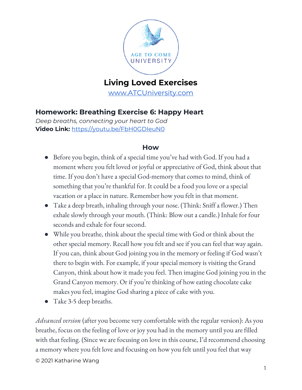

# **Living Loved Exercises**

[www.ATCUniversity.com](http://www.atcuniversity.com/)

# **Homework: Breathing Exercise 6: Happy Heart**

*Deep breaths, connecting your heart to God* **Video Link:** <https://youtu.be/FbH0GDIeuN0>

### **How**

- Before you begin, think of a special time you've had with God. If you had a moment where you felt loved or joyful or appreciative of God, think about that time. If you don't have a special God-memory that comes to mind, think of something that you're thankful for. It could be a food you love or a special vacation or a place in nature. Remember how you felt in that moment.
- Take a deep breath, inhaling through your nose. (Think: Sniff a flower.) Then exhale slowly through your mouth. (Think: Blow out a candle.) Inhale for four seconds and exhale for four second.
- While you breathe, think about the special time with God or think about the other special memory. Recall how you felt and see if you can feel that way again. If you can, think about God joining you in the memory or feeling if God wasn't there to begin with. For example, if your special memory is visiting the Grand Canyon, think about how it made you feel. Then imagine God joining you in the Grand Canyon memory. Or if you're thinking of how eating chocolate cake makes you feel, imagine God sharing a piece of cake with you.
- Take 3-5 deep breaths.

*Advanced version* (after you become very comfortable with the regular version): As you breathe, focus on the feeling of love or joy you had in the memory until you are filled with that feeling. (Since we are focusing on love in this course, I'd recommend choosing a memory where you felt love and focusing on how you felt until you feel that way

© 2021 Katharine Wang